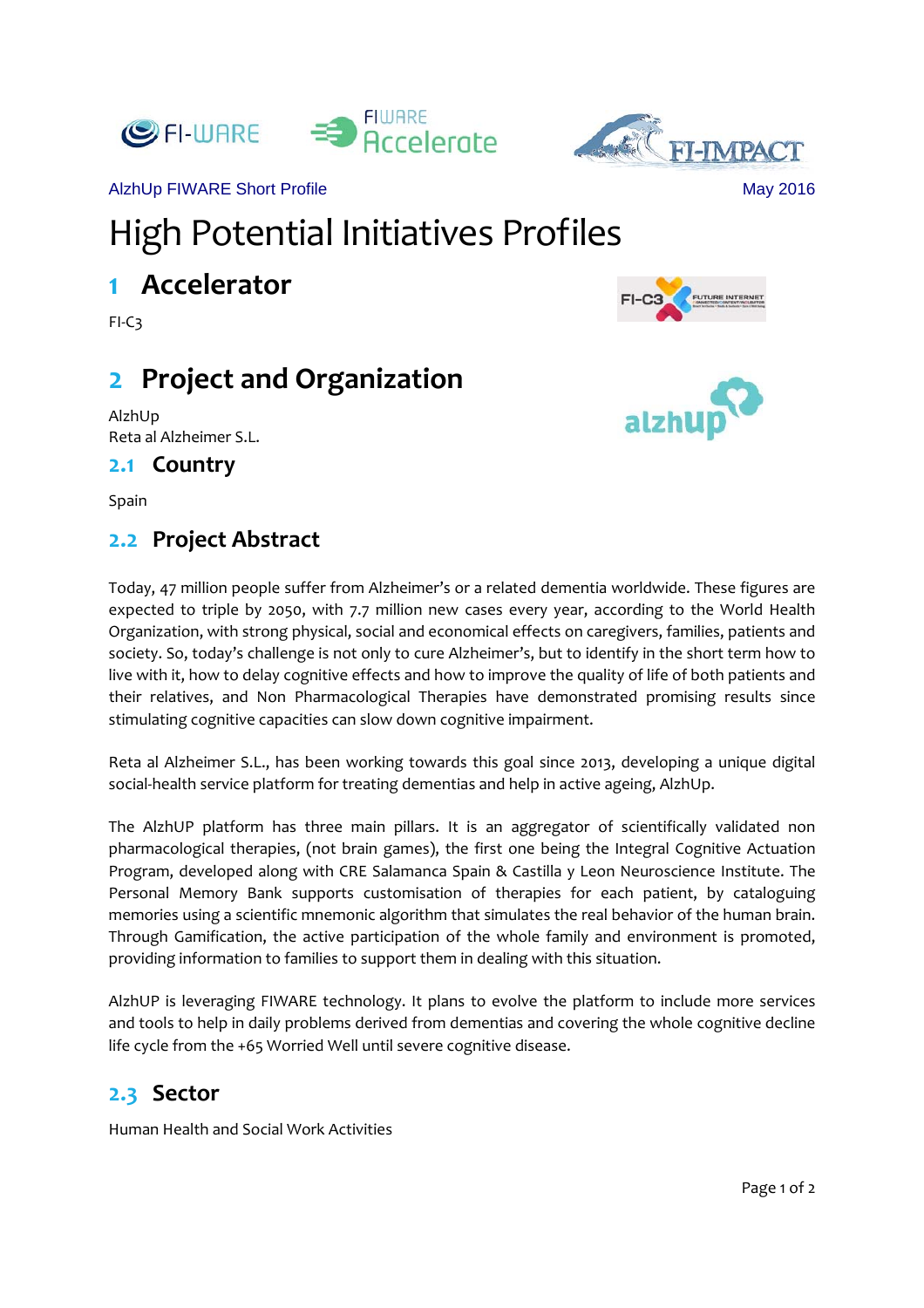



alzhU

AlzhUp FIWARE Short Profile May 2016

# High Potential Initiatives Profiles

# **1 Accelerator**

FI‐C3

# **2 Project and Organization**

AlzhUp Reta al Alzheimer S.L.

#### **2.1 Country**

Spain

## **2.2 Project Abstract**

Today, 47 million people suffer from Alzheimer's or a related dementia worldwide. These figures are expected to triple by 2050, with 7.7 million new cases every year, according to the World Health Organization, with strong physical, social and economical effects on caregivers, families, patients and society. So, today's challenge is not only to cure Alzheimer's, but to identify in the short term how to live with it, how to delay cognitive effects and how to improve the quality of life of both patients and their relatives, and Non Pharmacological Therapies have demonstrated promising results since stimulating cognitive capacities can slow down cognitive impairment.

Reta al Alzheimer S.L., has been working towards this goal since 2013, developing a unique digital social‐health service platform for treating dementias and help in active ageing, AlzhUp.

The AlzhUP platform has three main pillars. It is an aggregator of scientifically validated non pharmacological therapies, (not brain games), the first one being the Integral Cognitive Actuation Program, developed along with CRE Salamanca Spain & Castilla y Leon Neuroscience Institute. The Personal Memory Bank supports customisation of therapies for each patient, by cataloguing memories using a scientific mnemonic algorithm that simulates the real behavior of the human brain. Through Gamification, the active participation of the whole family and environment is promoted, providing information to families to support them in dealing with this situation.

AlzhUP is leveraging FIWARE technology. It plans to evolve the platform to include more services and tools to help in daily problems derived from dementias and covering the whole cognitive decline life cycle from the +65 Worried Well until severe cognitive disease.

## **2.3 Sector**

Human Health and Social Work Activities